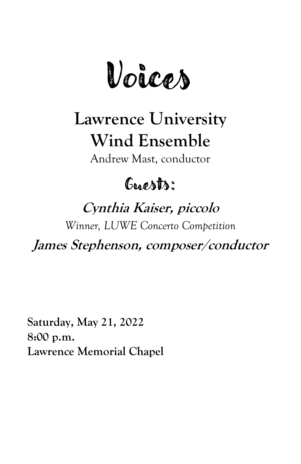Voices

# **Lawrence University Wind Ensemble**

Andrew Mast, conductor

## Googhts:

## **Cynthia Kaiser, piccolo**

*Winner, LUWE Concerto Competition*

**James Stephenson, composer/conductor**

**Saturday, May 21, 2022 8:00 p.m. Lawrence Memorial Chapel**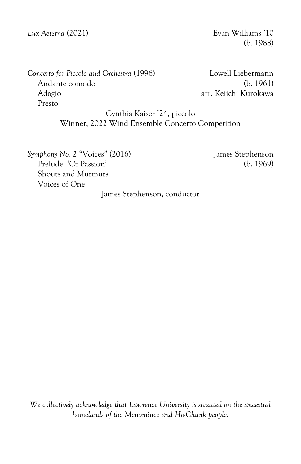*Lux Aeterna* (2021) Evan Williams '10

(b. 1988)

*Concerto for Piccolo and Orchestra* (1996) Lowell Liebermann Andante comodo (b. 1961) Adagio arr. Keiichi Kurokawa Presto

Cynthia Kaiser '24, piccolo Winner, 2022 Wind Ensemble Concerto Competition

*Symphony No.* 2 "Voices" (2016) James Stephenson Prelude: 'Of Passion' (b. 1969) Shouts and Murmurs Voices of One

James Stephenson, conductor

*We collectively acknowledge that Lawrence University is situated on the ancestral homelands of the Menominee and Ho-Chunk people.*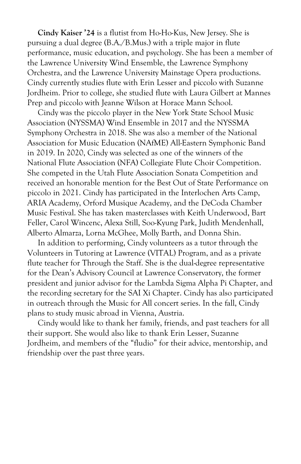**Cindy Kaiser '24** is a flutist from Ho-Ho-Kus, New Jersey. She is pursuing a dual degree (B.A./B.Mus.) with a triple major in flute performance, music education, and psychology. She has been a member of the Lawrence University Wind Ensemble, the Lawrence Symphony Orchestra, and the Lawrence University Mainstage Opera productions. Cindy currently studies flute with Erin Lesser and piccolo with Suzanne Jordheim. Prior to college, she studied flute with Laura Gilbert at Mannes Prep and piccolo with Jeanne Wilson at Horace Mann School.

Cindy was the piccolo player in the New York State School Music Association (NYSSMA) Wind Ensemble in 2017 and the NYSSMA Symphony Orchestra in 2018. She was also a member of the National Association for Music Education (NAfME) All-Eastern Symphonic Band in 2019. In 2020, Cindy was selected as one of the winners of the National Flute Association (NFA) Collegiate Flute Choir Competition. She competed in the Utah Flute Association Sonata Competition and received an honorable mention for the Best Out of State Performance on piccolo in 2021. Cindy has participated in the Interlochen Arts Camp, ARIA Academy, Orford Musique Academy, and the DeCoda Chamber Music Festival. She has taken masterclasses with Keith Underwood, Bart Feller, Carol Wincenc, Alexa Still, Soo-Kyung Park, Judith Mendenhall, Alberto Almarza, Lorna McGhee, Molly Barth, and Donna Shin.

In addition to performing, Cindy volunteers as a tutor through the Volunteers in Tutoring at Lawrence (VITAL) Program, and as a private flute teacher for Through the Staff. She is the dual-degree representative for the Dean's Advisory Council at Lawrence Conservatory, the former president and junior advisor for the Lambda Sigma Alpha Pi Chapter, and the recording secretary for the SAI Xi Chapter. Cindy has also participated in outreach through the Music for All concert series. In the fall, Cindy plans to study music abroad in Vienna, Austria.

Cindy would like to thank her family, friends, and past teachers for all their support. She would also like to thank Erin Lesser, Suzanne Jordheim, and members of the "fludio" for their advice, mentorship, and friendship over the past three years.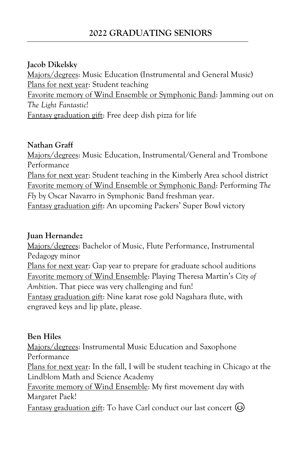## **2022 GRADUATING SENIORS**

#### **Jacob Dikelsky**

Majors/degrees: Music Education (Instrumental and General Music) Plans for next year: Student teaching Favorite memory of Wind Ensemble or Symphonic Band: Jamming out on *The Light Fantastic*! Fantasy graduation gift: Free deep dish pizza for life

#### **Nathan Graff**

Majors/degrees: Music Education, Instrumental/General and Trombone Performance Plans for next year: Student teaching in the Kimberly Area school district Favorite memory of Wind Ensemble or Symphonic Band: Performing *The Fly* by Oscar Navarro in Symphonic Band freshman year. Fantasy graduation gift: An upcoming Packers' Super Bowl victory

#### **Juan Hernandez**

Majors/degrees: Bachelor of Music, Flute Performance, Instrumental Pedagogy minor

Plans for next year: Gap year to prepare for graduate school auditions Favorite memory of Wind Ensemble: Playing Theresa Martin's *City of Ambition*. That piece was very challenging and fun! Fantasy graduation gift: Nine karat rose gold Nagahara flute, with engraved keys and lip plate, please.

#### **Ben Hiles**

Majors/degrees: Instrumental Music Education and Saxophone Performance

Plans for next year: In the fall, I will be student teaching in Chicago at the Lindblom Math and Science Academy

Favorite memory of Wind Ensemble: My first movement day with Margaret Paek!

<u>Fantasy graduation gift</u>: To have Carl conduct our last concert  $\odot$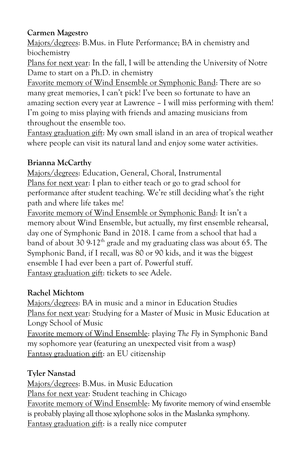#### **Carmen Magestro**

Majors/degrees: B.Mus. in Flute Performance; BA in chemistry and biochemistry

Plans for next year: In the fall, I will be attending the University of Notre Dame to start on a Ph.D. in chemistry

Favorite memory of Wind Ensemble or Symphonic Band: There are so many great memories, I can't pick! I've been so fortunate to have an amazing section every year at Lawrence – I will miss performing with them! I'm going to miss playing with friends and amazing musicians from throughout the ensemble too.

Fantasy graduation gift: My own small island in an area of tropical weather where people can visit its natural land and enjoy some water activities.

## **Brianna McCarthy**

Majors/degrees: Education, General, Choral, Instrumental Plans for next year: I plan to either teach or go to grad school for performance after student teaching. We're still deciding what's the right path and where life takes me!

Favorite memory of Wind Ensemble or Symphonic Band: It isn't a memory about Wind Ensemble, but actually, my first ensemble rehearsal, day one of Symphonic Band in 2018. I came from a school that had a band of about 30  $9-12<sup>th</sup>$  grade and my graduating class was about 65. The Symphonic Band, if I recall, was 80 or 90 kids, and it was the biggest ensemble I had ever been a part of. Powerful stuff. Fantasy graduation gift: tickets to see Adele.

## **Rachel Michtom**

Majors/degrees: BA in music and a minor in Education Studies Plans for next year: Studying for a Master of Music in Music Education at Longy School of Music

Favorite memory of Wind Ensemble: playing *The Fly* in Symphonic Band my sophomore year (featuring an unexpected visit from a wasp) Fantasy graduation gift: an EU citizenship

## **Tyler Nanstad**

Majors/degrees: B.Mus. in Music Education Plans for next year: Student teaching in Chicago Favorite memory of Wind Ensemble: My favorite memory of wind ensemble is probably playing all those xylophone solos in the Maslanka symphony. Fantasy graduation gift: is a really nice computer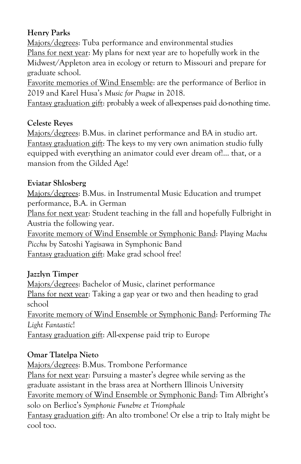## **Henry Parks**

Majors/degrees: Tuba performance and environmental studies Plans for next year: My plans for next year are to hopefully work in the Midwest/Appleton area in ecology or return to Missouri and prepare for graduate school.

Favorite memories of Wind Ensemble: are the performance of Berlioz in 2019 and Karel Husa's *Music for Prague* in 2018.

Fantasy graduation gift: probably a week of all-expenses paid do-nothing time.

#### **Celeste Reyes**

Majors/degrees: B.Mus. in clarinet performance and BA in studio art. Fantasy graduation gift: The keys to my very own animation studio fully equipped with everything an animator could ever dream of!... that, or a mansion from the Gilded Age!

#### **Eviatar Shlosberg**

Majors/degrees: B.Mus. in Instrumental Music Education and trumpet performance, B.A. in German

Plans for next year: Student teaching in the fall and hopefully Fulbright in Austria the following year.

Favorite memory of Wind Ensemble or Symphonic Band: Playing *Machu Picchu* by Satoshi Yagisawa in Symphonic Band Fantasy graduation gift: Make grad school free!

#### **Jazzlyn Timper**

Majors/degrees: Bachelor of Music, clarinet performance Plans for next year: Taking a gap year or two and then heading to grad school

Favorite memory of Wind Ensemble or Symphonic Band: Performing *The Light Fantastic*!

Fantasy graduation gift: All-expense paid trip to Europe

#### **Omar Tlatelpa Nieto**

Majors/degrees: B.Mus. Trombone Performance Plans for next year: Pursuing a master's degree while serving as the graduate assistant in the brass area at Northern Illinois University Favorite memory of Wind Ensemble or Symphonic Band: Tim Albright's solo on Berlioz's *Symphonie Funebre et Triomphale* Fantasy graduation gift: An alto trombone! Or else a trip to Italy might be cool too.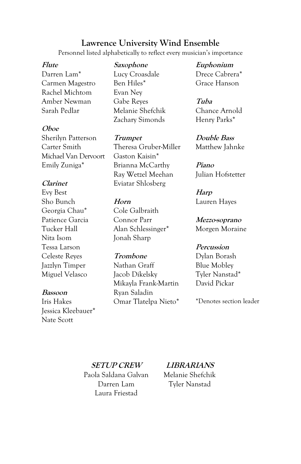#### **Lawrence University Wind Ensemble**

Personnel listed alphabetically to reflect every musician's importance

#### **Flute**

Darren Lam\* Carmen Magestro Rachel Michtom Amber Newman Sarah Pedlar

#### **Oboe**

Sherilyn Patterson Carter Smith Michael Van Dervoort Emily Zuniga\*

#### **Clarinet**

Evy Best Sho Bunch Georgia Chau\* Patience Garcia Tucker Hall Nita Isom Tessa Larson Celeste Reyes Jazzlyn Timper Miguel Velasco

#### **Bassoon**

Iris Hakes Jessica Kleebauer\* Nate Scott

**Saxophone** Lucy Croasdale Ben Hiles\* Evan Ney Gabe Reyes Melanie Shefchik Zachary Simonds

**Trumpet** Theresa Gruber-Miller Gaston Kaisin\* Brianna McCarthy Ray Wetzel Meehan Eviatar Shlosberg

#### **Horn** Cole Galbraith Connor Parr Alan Schlessinger\* Jonah Sharp

#### **Trombone**

Nathan Graff Jacob Dikelsky Mikayla Frank-Martin Ryan Saladin Omar Tlatelpa Nieto\*

**Euphonium** Drece Cabrera\* Grace Hanson

**Tuba** Chance Arnold Henry Parks\*

**Double Bass** Matthew Jahnke

**Piano** Julian Hofstetter

**Harp** Lauren Hayes

**Mezzo-soprano** Morgen Moraine

#### **Percussion**

Dylan Borash Blue Mobley Tyler Nanstad\* David Pickar

\*Denotes section leader

**SETUP CREW** Paola Saldana Galvan Darren Lam Laura Friestad

**LIBRARIANS** Melanie Shefchik Tyler Nanstad